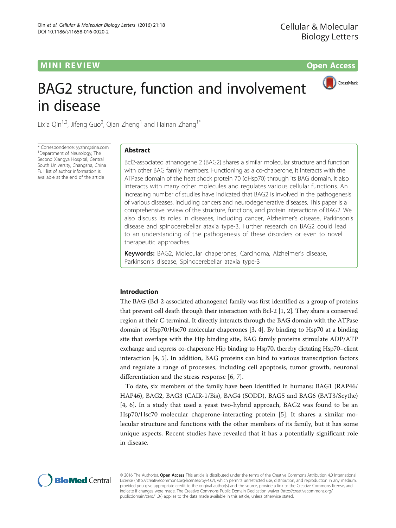# **MINI REVIEW CONTROL**



# BAG2 structure, function and involvement in disease

Lixia Qin<sup>1,2</sup>, Jifeng Guo<sup>2</sup>, Qian Zheng<sup>1</sup> and Hainan Zhang<sup>1\*</sup>

\* Correspondence: [yyzhn@sina.com](mailto:yyzhn@sina.com) <sup>1</sup> Department of Neurology, The Second Xiangya Hospital, Central South University, Changsha, China Full list of author information is available at the end of the article

# Abstract

Bcl2-associated athanogene 2 (BAG2) shares a similar molecular structure and function with other BAG family members. Functioning as a co-chaperone, it interacts with the ATPase domain of the heat shock protein 70 (dHsp70) through its BAG domain. It also interacts with many other molecules and regulates various cellular functions. An increasing number of studies have indicated that BAG2 is involved in the pathogenesis of various diseases, including cancers and neurodegenerative diseases. This paper is a comprehensive review of the structure, functions, and protein interactions of BAG2. We also discuss its roles in diseases, including cancer, Alzheimer's disease, Parkinson's disease and spinocerebellar ataxia type-3. Further research on BAG2 could lead to an understanding of the pathogenesis of these disorders or even to novel therapeutic approaches.

Keywords: BAG2, Molecular chaperones, Carcinoma, Alzheimer's disease, Parkinson's disease, Spinocerebellar ataxia type-3

# Introduction

The BAG (Bcl-2-associated athanogene) family was first identified as a group of proteins that prevent cell death through their interaction with Bcl-2 [\[1, 2](#page-8-0)]. They share a conserved region at their C-terminal. It directly interacts through the BAG domain with the ATPase domain of Hsp70/Hsc70 molecular chaperones [\[3](#page-8-0), [4](#page-8-0)]. By binding to Hsp70 at a binding site that overlaps with the Hip binding site, BAG family proteins stimulate ADP/ATP exchange and repress co-chaperone Hip binding to Hsp70, thereby dictating Hsp70–client interaction [\[4](#page-8-0), [5\]](#page-8-0). In addition, BAG proteins can bind to various transcription factors and regulate a range of processes, including cell apoptosis, tumor growth, neuronal differentiation and the stress response [[6, 7](#page-8-0)].

To date, six members of the family have been identified in humans: BAG1 (RAP46/ HAP46), BAG2, BAG3 (CAIR-1/Bis), BAG4 (SODD), BAG5 and BAG6 (BAT3/Scythe) [[4, 6\]](#page-8-0). In a study that used a yeast two-hybrid approach, BAG2 was found to be an Hsp70/Hsc70 molecular chaperone-interacting protein [\[5](#page-8-0)]. It shares a similar molecular structure and functions with the other members of its family, but it has some unique aspects. Recent studies have revealed that it has a potentially significant role in disease.



© 2016 The Author(s). Open Access This article is distributed under the terms of the Creative Commons Attribution 4.0 International License ([http://creativecommons.org/licenses/by/4.0/\)](http://creativecommons.org/licenses/by/4.0/), which permits unrestricted use, distribution, and reproduction in any medium, provided you give appropriate credit to the original author(s) and the source, provide a link to the Creative Commons license, and indicate if changes were made. The Creative Commons Public Domain Dedication waiver ([http://creativecommons.org/](http://creativecommons.org/publicdomain/zero/1.0/) [publicdomain/zero/1.0/\)](http://creativecommons.org/publicdomain/zero/1.0/) applies to the data made available in this article, unless otherwise stated.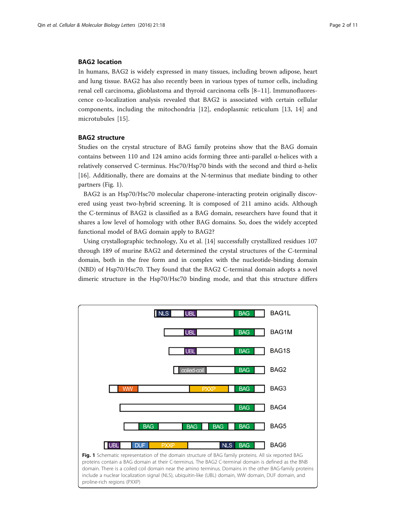## BAG2 location

In humans, BAG2 is widely expressed in many tissues, including brown adipose, heart and lung tissue. BAG2 has also recently been in various types of tumor cells, including renal cell carcinoma, glioblastoma and thyroid carcinoma cells [[8](#page-8-0)–[11](#page-8-0)]. Immunofluorescence co-localization analysis revealed that BAG2 is associated with certain cellular components, including the mitochondria [[12\]](#page-8-0), endoplasmic reticulum [\[13](#page-8-0), [14](#page-8-0)] and microtubules [\[15](#page-8-0)].

# BAG2 structure

Studies on the crystal structure of BAG family proteins show that the BAG domain contains between 110 and 124 amino acids forming three anti-parallel α-helices with a relatively conserved C-terminus. Hsc70/Hsp70 binds with the second and third α-helix [[16\]](#page-8-0). Additionally, there are domains at the N-terminus that mediate binding to other partners (Fig. 1).

BAG2 is an Hsp70/Hsc70 molecular chaperone-interacting protein originally discovered using yeast two-hybrid screening. It is composed of 211 amino acids. Although the C-terminus of BAG2 is classified as a BAG domain, researchers have found that it shares a low level of homology with other BAG domains. So, does the widely accepted functional model of BAG domain apply to BAG2?

Using crystallographic technology, Xu et al. [\[14\]](#page-8-0) successfully crystallized residues 107 through 189 of murine BAG2 and determined the crystal structures of the C-terminal domain, both in the free form and in complex with the nucleotide-binding domain (NBD) of Hsp70/Hsc70. They found that the BAG2 C-terminal domain adopts a novel dimeric structure in the Hsp70/Hsc70 binding mode, and that this structure differs

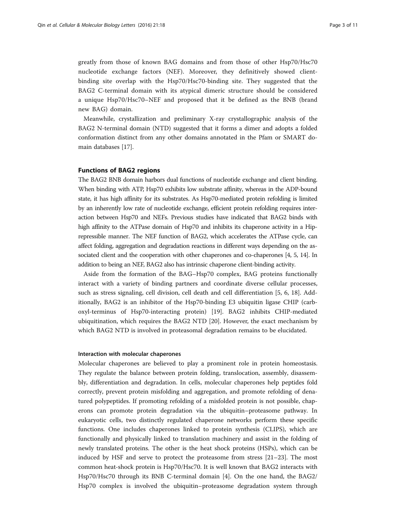greatly from those of known BAG domains and from those of other Hsp70/Hsc70 nucleotide exchange factors (NEF). Moreover, they definitively showed clientbinding site overlap with the Hsp70/Hsc70-binding site. They suggested that the BAG2 C-terminal domain with its atypical dimeric structure should be considered a unique Hsp70/Hsc70–NEF and proposed that it be defined as the BNB (brand new BAG) domain.

Meanwhile, crystallization and preliminary X-ray crystallographic analysis of the BAG2 N-terminal domain (NTD) suggested that it forms a dimer and adopts a folded conformation distinct from any other domains annotated in the Pfam or SMART domain databases [[17\]](#page-8-0).

#### Functions of BAG2 regions

The BAG2 BNB domain harbors dual functions of nucleotide exchange and client binding. When binding with ATP, Hsp70 exhibits low substrate affinity, whereas in the ADP-bound state, it has high affinity for its substrates. As Hsp70-mediated protein refolding is limited by an inherently low rate of nucleotide exchange, efficient protein refolding requires interaction between Hsp70 and NEFs. Previous studies have indicated that BAG2 binds with high affinity to the ATPase domain of Hsp70 and inhibits its chaperone activity in a Hiprepressible manner. The NEF function of BAG2, which accelerates the ATPase cycle, can affect folding, aggregation and degradation reactions in different ways depending on the associated client and the cooperation with other chaperones and co-chaperones [\[4, 5](#page-8-0), [14\]](#page-8-0). In addition to being an NEF, BAG2 also has intrinsic chaperone client-binding activity.

Aside from the formation of the BAG–Hsp70 complex, BAG proteins functionally interact with a variety of binding partners and coordinate diverse cellular processes, such as stress signaling, cell division, cell death and cell differentiation [\[5](#page-8-0), [6, 18\]](#page-8-0). Additionally, BAG2 is an inhibitor of the Hsp70-binding E3 ubiquitin ligase CHIP (carboxyl-terminus of Hsp70-interacting protein) [\[19](#page-8-0)]. BAG2 inhibits CHIP-mediated ubiquitination, which requires the BAG2 NTD [[20](#page-8-0)]. However, the exact mechanism by which BAG2 NTD is involved in proteasomal degradation remains to be elucidated.

## Interaction with molecular chaperones

Molecular chaperones are believed to play a prominent role in protein homeostasis. They regulate the balance between protein folding, translocation, assembly, disassembly, differentiation and degradation. In cells, molecular chaperones help peptides fold correctly, prevent protein misfolding and aggregation, and promote refolding of denatured polypeptides. If promoting refolding of a misfolded protein is not possible, chaperons can promote protein degradation via the ubiquitin–proteasome pathway. In eukaryotic cells, two distinctly regulated chaperone networks perform these specific functions. One includes chaperones linked to protein synthesis (CLIPS), which are functionally and physically linked to translation machinery and assist in the folding of newly translated proteins. The other is the heat shock proteins (HSPs), which can be induced by HSF and serve to protect the proteasome from stress [\[21](#page-8-0)–[23\]](#page-8-0). The most common heat-shock protein is Hsp70/Hsc70. It is well known that BAG2 interacts with Hsp70/Hsc70 through its BNB C-terminal domain [[4\]](#page-8-0). On the one hand, the BAG2/ Hsp70 complex is involved the ubiquitin–proteasome degradation system through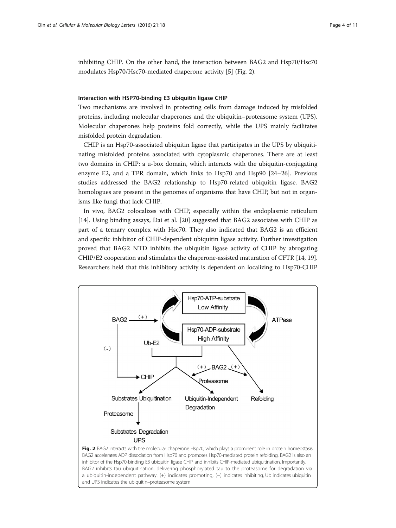inhibiting CHIP. On the other hand, the interaction between BAG2 and Hsp70/Hsc70 modulates Hsp70/Hsc70-mediated chaperone activity [[5\]](#page-8-0) (Fig. 2).

# Interaction with HSP70-binding E3 ubiquitin ligase CHIP

Two mechanisms are involved in protecting cells from damage induced by misfolded proteins, including molecular chaperones and the ubiquitin–proteasome system (UPS). Molecular chaperones help proteins fold correctly, while the UPS mainly facilitates misfolded protein degradation.

CHIP is an Hsp70-associated ubiquitin ligase that participates in the UPS by ubiquitinating misfolded proteins associated with cytoplasmic chaperones. There are at least two domains in CHIP: a u-box domain, which interacts with the ubiquitin-conjugating enzyme E2, and a TPR domain, which links to Hsp70 and Hsp90 [\[24](#page-8-0)–[26\]](#page-8-0). Previous studies addressed the BAG2 relationship to Hsp70-related ubiquitin ligase. BAG2 homologues are present in the genomes of organisms that have CHIP, but not in organisms like fungi that lack CHIP.

In vivo, BAG2 colocalizes with CHIP, especially within the endoplasmic reticulum [[14\]](#page-8-0). Using binding assays, Dai et al. [\[20](#page-8-0)] suggested that BAG2 associates with CHIP as part of a ternary complex with Hsc70. They also indicated that BAG2 is an efficient and specific inhibitor of CHIP-dependent ubiquitin ligase activity. Further investigation proved that BAG2 NTD inhibits the ubiquitin ligase activity of CHIP by abrogating CHIP/E2 cooperation and stimulates the chaperone-assisted maturation of CFTR [\[14](#page-8-0), [19](#page-8-0)]. Researchers held that this inhibitory activity is dependent on localizing to Hsp70-CHIP

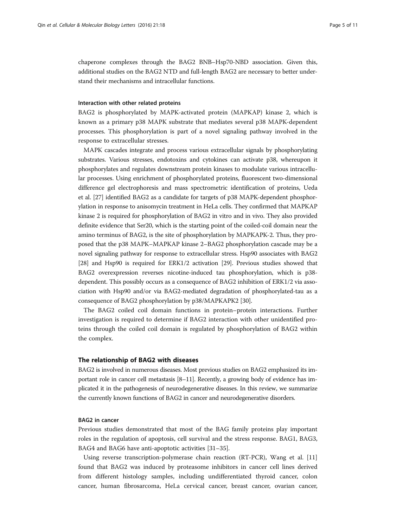chaperone complexes through the BAG2 BNB–Hsp70-NBD association. Given this, additional studies on the BAG2 NTD and full-length BAG2 are necessary to better understand their mechanisms and intracellular functions.

#### Interaction with other related proteins

BAG2 is phosphorylated by MAPK-activated protein (MAPKAP) kinase 2, which is known as a primary p38 MAPK substrate that mediates several p38 MAPK-dependent processes. This phosphorylation is part of a novel signaling pathway involved in the response to extracellular stresses.

MAPK cascades integrate and process various extracellular signals by phosphorylating substrates. Various stresses, endotoxins and cytokines can activate p38, whereupon it phosphorylates and regulates downstream protein kinases to modulate various intracellular processes. Using enrichment of phosphorylated proteins, fluorescent two-dimensional difference gel electrophoresis and mass spectrometric identification of proteins, Ueda et al. [\[27\]](#page-9-0) identified BAG2 as a candidate for targets of p38 MAPK-dependent phosphorylation in response to anisomycin treatment in HeLa cells. They confirmed that MAPKAP kinase 2 is required for phosphorylation of BAG2 in vitro and in vivo. They also provided definite evidence that Ser20, which is the starting point of the coiled-coil domain near the amino terminus of BAG2, is the site of phosphorylation by MAPKAPK-2. Thus, they proposed that the p38 MAPK–MAPKAP kinase 2–BAG2 phosphorylation cascade may be a novel signaling pathway for response to extracellular stress. Hsp90 associates with BAG2 [[28](#page-9-0)] and Hsp90 is required for ERK1/2 activation [\[29\]](#page-9-0). Previous studies showed that BAG2 overexpression reverses nicotine-induced tau phosphorylation, which is p38 dependent. This possibly occurs as a consequence of BAG2 inhibition of ERK1/2 via association with Hsp90 and/or via BAG2-mediated degradation of phosphorylated-tau as a consequence of BAG2 phosphorylation by p38/MAPKAPK2 [[30](#page-9-0)].

The BAG2 coiled coil domain functions in protein–protein interactions. Further investigation is required to determine if BAG2 interaction with other unidentified proteins through the coiled coil domain is regulated by phosphorylation of BAG2 within the complex.

## The relationship of BAG2 with diseases

BAG2 is involved in numerous diseases. Most previous studies on BAG2 emphasized its important role in cancer cell metastasis [\[8](#page-8-0)–[11](#page-8-0)]. Recently, a growing body of evidence has implicated it in the pathogenesis of neurodegenerative diseases. In this review, we summarize the currently known functions of BAG2 in cancer and neurodegenerative disorders.

#### BAG2 in cancer

Previous studies demonstrated that most of the BAG family proteins play important roles in the regulation of apoptosis, cell survival and the stress response. BAG1, BAG3, BAG4 and BAG6 have anti-apoptotic activities [[31](#page-9-0)–[35](#page-9-0)].

Using reverse transcription-polymerase chain reaction (RT-PCR), Wang et al. [[11](#page-8-0)] found that BAG2 was induced by proteasome inhibitors in cancer cell lines derived from different histology samples, including undifferentiated thyroid cancer, colon cancer, human fibrosarcoma, HeLa cervical cancer, breast cancer, ovarian cancer,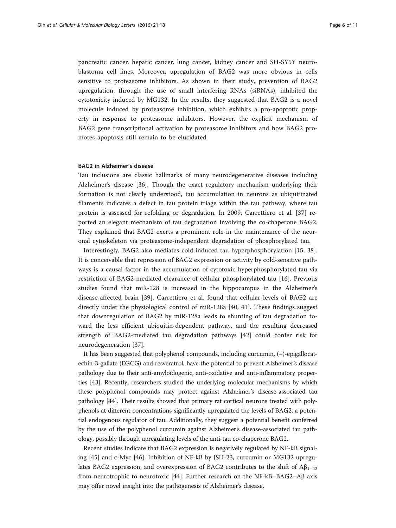pancreatic cancer, hepatic cancer, lung cancer, kidney cancer and SH-SY5Y neuroblastoma cell lines. Moreover, upregulation of BAG2 was more obvious in cells sensitive to proteasome inhibitors. As shown in their study, prevention of BAG2 upregulation, through the use of small interfering RNAs (siRNAs), inhibited the cytotoxicity induced by MG132. In the results, they suggested that BAG2 is a novel molecule induced by proteasome inhibition, which exhibits a pro-apoptotic property in response to proteasome inhibitors. However, the explicit mechanism of BAG2 gene transcriptional activation by proteasome inhibitors and how BAG2 promotes apoptosis still remain to be elucidated.

## BAG2 in Alzheimer's disease

Tau inclusions are classic hallmarks of many neurodegenerative diseases including Alzheimer's disease [\[36](#page-9-0)]. Though the exact regulatory mechanism underlying their formation is not clearly understood, tau accumulation in neurons as ubiquitinated filaments indicates a defect in tau protein triage within the tau pathway, where tau protein is assessed for refolding or degradation. In 2009, Carrettiero et al. [\[37](#page-9-0)] reported an elegant mechanism of tau degradation involving the co-chaperone BAG2. They explained that BAG2 exerts a prominent role in the maintenance of the neuronal cytoskeleton via proteasome-independent degradation of phosphorylated tau.

Interestingly, BAG2 also mediates cold-induced tau hyperphosphorylation [\[15](#page-8-0), [38](#page-9-0)]. It is conceivable that repression of BAG2 expression or activity by cold-sensitive pathways is a causal factor in the accumulation of cytotoxic hyperphosphorylated tau via restriction of BAG2-mediated clearance of cellular phosphorylated tau [[16\]](#page-8-0). Previous studies found that miR-128 is increased in the hippocampus in the Alzheimer's disease-affected brain [\[39](#page-9-0)]. Carrettiero et al. found that cellular levels of BAG2 are directly under the physiological control of miR-128a [[40](#page-9-0), [41\]](#page-9-0). These findings suggest that downregulation of BAG2 by miR-128a leads to shunting of tau degradation toward the less efficient ubiquitin-dependent pathway, and the resulting decreased strength of BAG2-mediated tau degradation pathways [\[42](#page-9-0)] could confer risk for neurodegeneration [\[37](#page-9-0)].

It has been suggested that polyphenol compounds, including curcumin, (−)-epigallocatechin-3-gallate (EGCG) and resveratrol, have the potential to prevent Alzheimer's disease pathology due to their anti-amyloidogenic, anti-oxidative and anti-inflammatory properties [\[43\]](#page-9-0). Recently, researchers studied the underlying molecular mechanisms by which these polyphenol compounds may protect against Alzheimer's disease-associated tau pathology [\[44\]](#page-9-0). Their results showed that primary rat cortical neurons treated with polyphenols at different concentrations significantly upregulated the levels of BAG2, a potential endogenous regulator of tau. Additionally, they suggest a potential benefit conferred by the use of the polyphenol curcumin against Alzheimer's disease-associated tau pathology, possibly through upregulating levels of the anti-tau co-chaperone BAG2.

Recent studies indicate that BAG2 expression is negatively regulated by NF-kB signaling [[45\]](#page-9-0) and c-Myc [\[46\]](#page-9-0). Inhibition of NF-kB by JSH-23, curcumin or MG132 upregulates BAG2 expression, and overexpression of BAG2 contributes to the shift of  $A\beta_{1-42}$ from neurotrophic to neurotoxic [[44\]](#page-9-0). Further research on the NF-kB–BAG2– $\beta$ axis may offer novel insight into the pathogenesis of Alzheimer's disease.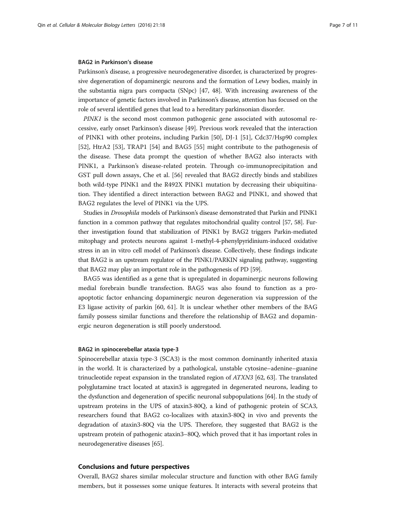#### BAG2 in Parkinson's disease

Parkinson's disease, a progressive neurodegenerative disorder, is characterized by progressive degeneration of dopaminergic neurons and the formation of Lewy bodies, mainly in the substantia nigra pars compacta (SNpc) [\[47, 48\]](#page-9-0). With increasing awareness of the importance of genetic factors involved in Parkinson's disease, attention has focused on the role of several identified genes that lead to a hereditary parkinsonian disorder.

PINK1 is the second most common pathogenic gene associated with autosomal recessive, early onset Parkinson's disease [[49\]](#page-9-0). Previous work revealed that the interaction of PINK1 with other proteins, including Parkin [[50\]](#page-9-0), DJ-1 [[51\]](#page-9-0), Cdc37/Hsp90 complex [[52\]](#page-9-0), HtrA2 [[53](#page-9-0)], TRAP1 [[54\]](#page-9-0) and BAG5 [\[55\]](#page-9-0) might contribute to the pathogenesis of the disease. These data prompt the question of whether BAG2 also interacts with PINK1, a Parkinson's disease-related protein. Through co-immunoprecipitation and GST pull down assays, Che et al. [[56\]](#page-9-0) revealed that BAG2 directly binds and stabilizes both wild-type PINK1 and the R492X PINK1 mutation by decreasing their ubiquitination. They identified a direct interaction between BAG2 and PINK1, and showed that BAG2 regulates the level of PINK1 via the UPS.

Studies in Drosophila models of Parkinson's disease demonstrated that Parkin and PINK1 function in a common pathway that regulates mitochondrial quality control [\[57](#page-9-0), [58](#page-9-0)]. Further investigation found that stabilization of PINK1 by BAG2 triggers Parkin-mediated mitophagy and protects neurons against 1-methyl-4-phenylpyridinium-induced oxidative stress in an in vitro cell model of Parkinson's disease. Collectively, these findings indicate that BAG2 is an upstream regulator of the PINK1/PARKIN signaling pathway, suggesting that BAG2 may play an important role in the pathogenesis of PD [[59](#page-9-0)].

BAG5 was identified as a gene that is upregulated in dopaminergic neurons following medial forebrain bundle transfection. BAG5 was also found to function as a proapoptotic factor enhancing dopaminergic neuron degeneration via suppression of the E3 ligase activity of parkin [\[60,](#page-9-0) [61\]](#page-10-0). It is unclear whether other members of the BAG family possess similar functions and therefore the relationship of BAG2 and dopaminergic neuron degeneration is still poorly understood.

#### BAG2 in spinocerebellar ataxia type-3

Spinocerebellar ataxia type-3 (SCA3) is the most common dominantly inherited ataxia in the world. It is characterized by a pathological, unstable cytosine–adenine–guanine trinucleotide repeat expansion in the translated region of ATXN3 [[62](#page-10-0), [63](#page-10-0)]. The translated polyglutamine tract located at ataxin3 is aggregated in degenerated neurons, leading to the dysfunction and degeneration of specific neuronal subpopulations [[64](#page-10-0)]. In the study of upstream proteins in the UPS of ataxin3-80Q, a kind of pathogenic protein of SCA3, researchers found that BAG2 co-localizes with ataxin3-80Q in vivo and prevents the degradation of ataxin3-80Q via the UPS. Therefore, they suggested that BAG2 is the upstream protein of pathogenic ataxin3–80Q, which proved that it has important roles in neurodegenerative diseases [\[65\]](#page-10-0).

# Conclusions and future perspectives

Overall, BAG2 shares similar molecular structure and function with other BAG family members, but it possesses some unique features. It interacts with several proteins that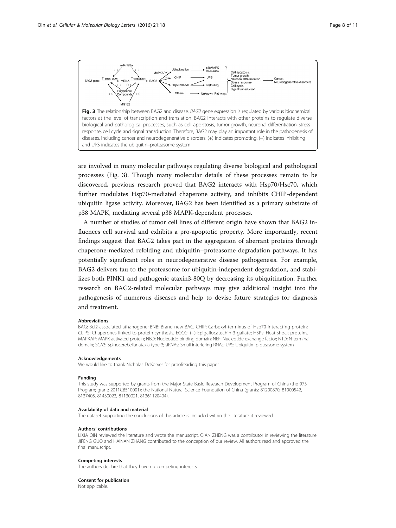

are involved in many molecular pathways regulating diverse biological and pathological processes (Fig. 3). Though many molecular details of these processes remain to be discovered, previous research proved that BAG2 interacts with Hsp70/Hsc70, which further modulates Hsp70-mediated chaperone activity, and inhibits CHIP-dependent ubiquitin ligase activity. Moreover, BAG2 has been identified as a primary substrate of p38 MAPK, mediating several p38 MAPK-dependent processes.

A number of studies of tumor cell lines of different origin have shown that BAG2 influences cell survival and exhibits a pro-apoptotic property. More importantly, recent findings suggest that BAG2 takes part in the aggregation of aberrant proteins through chaperone-mediated refolding and ubiquitin–proteasome degradation pathways. It has potentially significant roles in neurodegenerative disease pathogenesis. For example, BAG2 delivers tau to the proteasome for ubiquitin-independent degradation, and stabilizes both PINK1 and pathogenic ataxin3-80Q by decreasing its ubiquitination. Further research on BAG2-related molecular pathways may give additional insight into the pathogenesis of numerous diseases and help to devise future strategies for diagnosis and treatment.

#### **Abbreviations**

BAG: Bcl2-associated athanogene; BNB: Brand new BAG; CHIP: Carboxyl-terminus of Hsp70-interacting protein; CLIPS: Chaperones linked to protein synthesis; EGCG: (−)-Epigallocatechin-3-gallate; HSPs: Heat shock proteins; MAPKAP: MAPK-activated protein; NBD: Nucleotide-binding domain; NEF: Nucleotide exchange factor; NTD: N-terminal domain; SCA3: Spinocerebellar ataxia type-3; siRNAs: Small interfering RNAs; UPS: Ubiquitin–proteasome system

#### Acknowledgements

We would like to thank Nicholas DeKorver for proofreading this paper.

#### Funding

This study was supported by grants from the Major State Basic Research Development Program of China (the 973 Program; grant: 2011CB510001); the National Natural Science Foundation of China (grants: 81200870, 81000542, 8137405, 81430023, 81130021, 81361120404).

#### Availability of data and material

The dataset supporting the conclusions of this article is included within the literature it reviewed.

#### Authors' contributions

LIXIA QIN reviewed the literature and wrote the manuscript. QIAN ZHENG was a contributor in reviewing the literature. JIFENG GUO and HAINAN ZHANG contributed to the conception of our review. All authors read and approved the final manuscript.

#### Competing interests

The authors declare that they have no competing interests.

#### Consent for publication

Not applicable.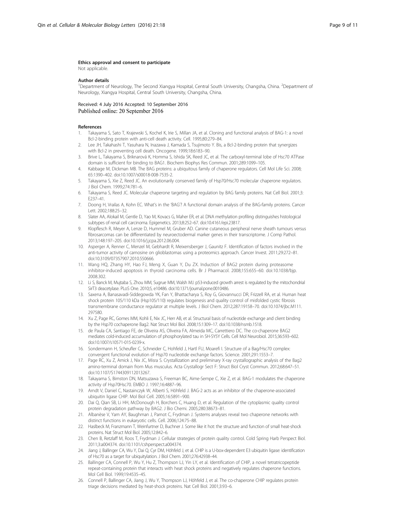#### <span id="page-8-0"></span>Ethics approval and consent to participate

Not applicable.

#### Author details

<sup>1</sup>Department of Neurology, The Second Xiangya Hospital, Central South University, Changsha, China. <sup>2</sup>Department of Neurology, Xiangya Hospital, Central South University, Changsha, China.

Received: 4 July 2016 Accepted: 10 September 2016 Published online: 20 September 2016

#### References

- 1. Takayama S, Sato T, Krajewski S, Kochel K, Irie S, Millan JA, et al. Cloning and functional analysis of BAG-1: a novel Bcl-2-binding protein with anti-cell death activity. Cell. 1995;80:279–84.
- 2. Lee JH, Takahashi T, Yasuhara N, Inazawa J, Kamada S, Tsujimoto Y. Bis, a Bcl-2-binding protein that synergizes with Bcl-2 in preventing cell death. Oncogene. 1999;18:6183–90.
- 3. Brive L, Takayama S, Briknarová K, Homma S, Ishida SK, Reed JC, et al. The carboxyl-terminal lobe of Hsc70 ATPase domain is sufficient for binding to BAG1. Biochem Biophys Res Commun. 2001;289:1099–105.
- 4. Kabbage M, Dickman MB. The BAG proteins: a ubiquitous family of chaperone regulators. Cell Mol Life Sci. 2008; 65:1390–402. doi:[10.1007/s00018-008-7535-2](http://dx.doi.org/10.1007/s00018-008-7535-2).
- 5. Takayama S, Xie Z, Reed JC. An evolutionarily conserved family of Hsp70/Hsc70 molecular chaperone regulators. J Biol Chem. 1999;274:781–6.
- 6. Takayama S, Reed JC. Molecular chaperone targeting and regulation by BAG family proteins. Nat Cell Biol. 2001;3: E237–41.
- 7. Doong H, Vrailas A, Kohn EC. What's in the 'BAG'? A functional domain analysis of the BAG-family proteins. Cancer Lett. 2002;188:25–32.
- 8. Slater AA, Alokail M, Gentle D, Yao M, Kovacs G, Maher ER, et al. DNA methylation profiling distinguishes histological subtypes of renal cell carcinoma. Epigenetics. 2013;8:252–67. doi[:10.4161/epi.23817.](http://dx.doi.org/10.4161/epi.23817)
- 9. Klopflesch R, Meyer A, Lenze D, Hummel M, Gruber AD. Canine cutaneous peripheral nerve sheath tumours versus fibrosarcomas can be differentiated by neuroectodermal marker genes in their transcriptome. J Comp Pathol. 2013;148:197–205. doi:[10.1016/j.jcpa.2012.06.004](http://dx.doi.org/10.1016/j.jcpa.2012.06.004).
- 10. Asperger A, Renner C, Menzel M, Gebhardt R, Meixensberger J, Gaunitz F. Identification of factors involved in the anti-tumor activity of carnosine on glioblastomas using a proteomics approach. Cancer Invest. 2011;29:272–81. doi:[10.3109/07357907.2010.550666.](http://dx.doi.org/10.3109/07357907.2010.550666)
- 11. Wang HQ, Zhang HY, Hao FJ, Meng X, Guan Y, Du ZX. Induction of BAG2 protein during proteasome inhibitor-induced apoptosis in thyroid carcinoma cells. Br J Pharmacol. 2008;155:655–60. doi:[10.1038/bjp.](http://dx.doi.org/10.1038/bjp.2008.302) [2008.302](http://dx.doi.org/10.1038/bjp.2008.302).
- 12. Li S, Banck M, Mujtaba S, Zhou MM, Sugrue MM, Walsh MJ. p53-induced growth arrest is regulated by the mitochondrial SirT3 deacetylase. PLoS One. 2010;5, e10486. doi[:10.1371/journal.pone.0010486.](http://dx.doi.org/10.1371/journal.pone.0010486)
- 13. Saxena A, Banasavadi-Siddegowda YK, Fan Y, Bhattacharya S, Roy G, Giovannucci DR, Frizzell RA, et al. Human heat shock protein 105/110 kDa (Hsp105/110) regulates biogenesis and quality control of misfolded cystic fibrosis transmembrane conductance regulator at multiple levels. J Biol Chem. 2012;287:19158–70. doi[:10.1074/jbc.M111.](http://dx.doi.org/10.1074/jbc.M111.297580) [297580](http://dx.doi.org/10.1074/jbc.M111.297580).
- 14. Xu Z, Page RC, Gomes MM, Kohli E, Nix JC, Herr AB, et al. Structural basis of nucleotide exchange and client binding by the Hsp70 cochaperone Bag2. Nat Struct Mol Biol. 2008;15:1309–17. doi:[10.1038/nsmb.1518](http://dx.doi.org/10.1038/nsmb.1518).
- 15. de Paula CA, Santiago FE, de Oliveira AS, Oliveira FA, Almeida MC, Carrettiero DC. The co-chaperone BAG2 mediates cold-induced accumulation of phosphorylated tau in SH-SY5Y Cells. Cell Mol Neurobiol. 2015;36:593–602. doi:[10.1007/s10571-015-0239-x](http://dx.doi.org/10.1007/s10571-015-0239-x).
- 16. Sondermann H, Scheufler C, Schneider C, Hohfeld J, Hartl FU, Moarefi I. Structure of a Bag/Hsc70 complex: convergent functional evolution of Hsp70 nucleotide exchange factors. Science. 2001;291:1553–7.
- 17. Page RC, Xu Z, Amick J, Nix JC, Misra S. Crystallization and preliminary X-ray crystallographic analysis of the Bag2 amino-terminal domain from Mus musculus. Acta Crystallogr Sect F: Struct Biol Cryst Commun. 2012;68:647–51. doi:[10.1107/S1744309112013267.](http://dx.doi.org/10.1107/S1744309112013267)
- 18. Takayama S, Bimston DN, Matsuzawa S, Freeman BC, Aime-Sempe C, Xie Z, et al. BAG-1 modulates the chaperone activity of Hsp70Hsc70. EMBO J. 1997;16:4887–96.
- 19. Arndt V, Daniel C, Nastainczyk W, Alberti S, Höhfeld J. BAG-2 acts as an inhibitor of the chaperone-associated ubiquitin ligase CHIP. Mol Biol Cell. 2005;16:5891–900.
- 20. Dai Q, Qian SB, Li HH, McDonough H, Borchers C, Huang D, et al. Regulation of the cytoplasmic quality control protein degradation pathway by BAG2. J Bio Chemi. 2005;280:38673–81.
- 21. Albanèse V, Yam AY, Baughman J, Parnot C, Frydman J. Systems analyses reveal two chaperone networks with distinct functions in eukaryotic cells. Cell. 2006;124:75–88.
- 22. Haslbeck M, Franzmann T, Weinfurtner D, Buchner J. Some like it hot: the structure and function of small heat-shock proteins. Nat Struct Mol Biol. 2005;12:842–6.
- 23. Chen B, Retzlaff M, Roos T, Frydman J. Cellular strategies of protein quality control. Cold Spring Harb Perspect Biol. 2011;3:a004374. doi[:10.1101/cshperspect.a004374](http://dx.doi.org/10.1101/cshperspect.a004374).
- 24. Jiang J, Ballinger CA, Wu Y, Dai Q, Cyr DM, Höhfeld J, et al. CHIP is a U-box-dependent E3 ubiquitin ligase: identification of Hsc70 as a target for ubiquitylation. J Biol Chem. 2001;276:42938–44.
- 25. Ballinger CA, Connell P, Wu Y, Hu Z, Thompson LJ, Yin LY, et al. Identification of CHIP, a novel tetratricopeptide repeat-containing protein that interacts with heat shock proteins and negatively regulates chaperone functions. Mol Cell Biol. 1999;19:4535–45.
- 26. Connell P, Ballinger CA, Jiang J, Wu Y, Thompson LJ, Höhfeld J, et al. The co-chaperone CHIP regulates protein triage decisions mediated by heat-shock proteins. Nat Cell Biol. 2001;3:93–6.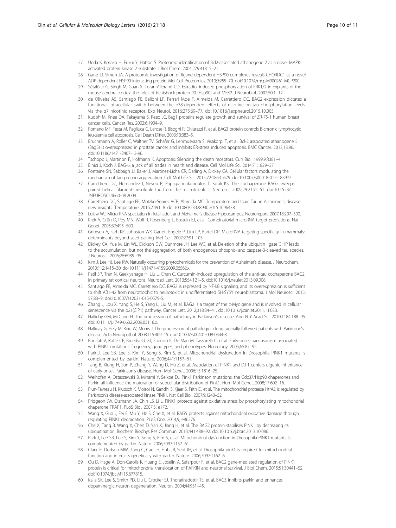- <span id="page-9-0"></span>27. Ueda K, Kosako H, Fukui Y, Hattori S. Proteomic identification of Bcl2-associated athanogene 2 as a novel MAPKactivated protein kinase 2 substrate. J Biol Chem. 2004;279:41815–21.
- 28. Gano JJ, Simon JA. A proteomic investigation of ligand-dependent HSP90 complexes reveals CHORDC1 as a novel ADP-dependent HSP90-interacting protein. Mol Cell Proteomics. 2010;9:255–70. doi[:10.1074/mcp.M900261-MCP200](http://dx.doi.org/10.1074/mcp.M900261-MCP200).
- 29. Sétáló Jr G, Singh M, Guan X, Toran-Allerand CD. Estradiol-induced phosphorylation of ERK1/2 in explants of the mouse cerebral cortex: the roles of heatshock protein 90 (Hsp90) and MEK2. J Neurobiol. 2002;50:1–12.
- 30. de Oliveira AS, Santiago FE, Balioni LF, Ferrari Mde F, Almeida M, Carrettiero DC. BAG2 expression dictates a functional intracellular switch between the p38-dependent effects of nicotine on tau phosphorylation levels via the α7 nicotinic receptor. Exp Neurol. 2016;275:69–77. doi[:10.1016/j.expneurol.2015.10.005.](http://dx.doi.org/10.1016/j.expneurol.2015.10.005)
- 31. Kudoh M, Knee DA, Takayama S, Reed JC. Bag1 proteins regulate growth and survival of ZR-75-1 human breast cancer cells. Cancer Res. 2002;6:1904–9.
- 32. Romano MF, Festa M, Pagliuca G, Lerose R, Bisogni R, Chiurazzi F, et al. BAG3 protein controls B-chronic lymphocytic leukaemia cell apoptosis. Cell Death Differ. 2003;10:383–5.
- 33. Bruchmann A, Roller C, Walther TV, Schäfer G, Lehmusvaara S, Visakorpi T, et al. Bcl-2 associated athanogene 5 (Bag5) is overexpressed in prostate cancer and inhibits ER-stress induced apoptosis. BMC Cancer. 2013;13:96. doi:[10.1186/1471-2407-13-96](http://dx.doi.org/10.1186/1471-2407-13-96).
- 34. Tschopp J, Martinon F, Hofmann K. Apoptosis: Silencing the death receptors. Curr Biol. 1999;9:R381–4.
- 35. Binici J, Koch J. BAG-6, a jack of all trades in health and disease. Cell Mol Life Sci. 2014;71:1829–37.
- 36. Fontaine SN, Sabbagh JJ, Baker J, Martinez-Licha CR, Darling A, Dickey CA. Cellular factors modulating the mechanism of tau protein aggregation. Cell Mol Life Sci. 2015;72:1863–679. doi:[10.1007/s00018-015-1839-9](http://dx.doi.org/10.1007/s00018-015-1839-9).
- 37. Carrettiero DC, Hernandez I, Neveu P, Papagiannakopoulos T, Kosik KS. The cochaperone BAG2 sweeps paired helical filament- insoluble tau from the microtubule. J Neurosci. 2009;29:2151–61. doi[:10.1523/](http://dx.doi.org/10.1523/JNEUROSCI.4660-08.2009) [JNEUROSCI.4660-08.2009.](http://dx.doi.org/10.1523/JNEUROSCI.4660-08.2009)
- 38. Carrettiero DC, Santiago FE, Motzko-Soares ACP, Almeida MC. Temperature and toxic Tau in Alzheimer's disease: new insights. Temperature. 2016;2:491–8. doi[:10.1080/23328940.2015.1096438](http://dx.doi.org/10.1080/23328940.2015.1096438).
- 39. Lukiw WJ. Micro-RNA speciation in fetal, adult and Alzheimer's disease hippocampus. Neuroreport. 2007;18:297–300.
- 40. Krek A, Grün D, Poy MN, Wolf R, Rosenberg L, Epstein EJ, et al. Combinatorial microRNA target predictions. Nat Genet. 2005;37:495–500.
- 41. Grimson A, Farh KK, Johnston WK, Garrett-Engele P, Lim LP, Bartel DP. MicroRNA targeting specificity in mammals: determinants beyond seed pairing. Mol Cell. 2007;27:91–105.
- 42. Dickey CA, Yue M, Lin WL, Dickson DW, Dunmore JH, Lee WC, et al. Deletion of the ubiquitin ligase CHIP leads to the accumulation, but not the aggregation, of both endogenous phospho- and caspase-3-cleaved tau species. J Neurosci. 2006;26:6985–96.
- 43. Kim J, Lee HJ, Lee KW. Naturally occurring phytochemicals for the prevention of Alzheimer's disease. J Neurochem. 2010;112:1415–30. doi[:10.1111/j.1471-4159.2009.06562.x](http://dx.doi.org/10.1111/j.1471-4159.2009.06562.x).
- 44. Patil SP, Tran N, Geekiyanage H, Liu L, Chan C. Curcumin-induced upregulation of the anti-tau cochaperone BAG2 in primary rat cortical neurons. Neurosci Lett. 2013;554:121–5. doi:[10.1016/j.neulet.2013.09.008.](http://dx.doi.org/10.1016/j.neulet.2013.09.008)
- 45. Santiago FE, Almeida MC, Carrettiero DC. BAG2 is repressed by NF-kB signaling, and its overexpression is sufficient to shift Aβ1-42 from neurotrophic to neurotoxic in undifferentiated SH-SY5Y neuroblastoma. J Mol Neurosci. 2015; 57:83–9. doi[:10.1007/s12031-015-0579-5](http://dx.doi.org/10.1007/s12031-015-0579-5).
- 46. Zhang J, Lou X, Yang S, He S, Yang L, Liu M, et al. BAG2 is a target of the c-Myc gene and is involved in cellular senescence via the p21(CIP1) pathway. Cancer Lett. 2012;318:34–41. doi:[10.1016/j.canlet.2011.11.033.](http://dx.doi.org/10.1016/j.canlet.2011.11.033)
- 47. Halliday GM, McCann H. The progression of pathology in Parkinson's disease. Ann N Y Acad Sci. 2010;1184:188–95. doi:[10.1111/j.1749-6632.2009.05118.x](http://dx.doi.org/10.1111/j.1749-6632.2009.05118.x).
- 48. Halliday G, Hely M, Reid W, Morris J. The progression of pathology in longitudinally followed patients with Parkinson's disease. Acta Neuropathol. 2008;115:409–15. doi[:10.1007/s00401-008-0344-8](http://dx.doi.org/10.1007/s00401-008-0344-8).
- 49. Bonifati V, Rohé CF, Breedveld GJ, Fabrizio E, De Mari M, Tassorelli C, et al. Early-onset parkinsonism associated with PINK1 mutations: frequency, genotypes, and phenotypes. Neurology. 2005;65:87–95.
- 50. Park J, Lee SB, Lee S, Kim Y, Song S, Kim S, et al. Mitochondrial dysfunction in Drosophila PINK1 mutants is complemented by parkin. Nature. 2006;441:1157–61.
- 51. Tang B, Xiong H, Sun P, Zhang Y, Wang D, Hu Z, et al. Association of PINK1 and DJ-1 confers digenic inheritance of early-onset Parkinson's disease. Hum Mol Genet. 2006;15:1816–25.
- 52. Weihofen A, Ostaszewski B, Minami Y, Selkoe DJ. Pink1 Parkinson mutations, the Cdc37/Hsp90 chaperones and Parkin all influence the maturation or subcellular distribution of Pink1. Hum Mol Genet. 2008;17:602–16.
- 53. Plun-Favreau H, Klupsch K, Moisoi N, Gandhi S, Kjaer S, Frith D, et al. The mitochondrial protease HtrA2 is regulated by Parkinson's disease-associated kinase PINK1. Nat Cell Biol. 2007;9:1243–52.
- 54. Pridgeon JW, Olzmann JA, Chin LS, Li L. PINK1 protects against oxidative stress by phosphorylating mitochondrial chaperone TRAP1. PLoS Biol. 2007;5, e172.
- 55. Wang X, Guo J, Fei E, Mu Y, He S, Che X, et al. BAG5 protects against mitochondrial oxidative damage through regulating PINK1 degradation. PLoS One. 2014;9, e86276.
- 56. Che X, Tang B, Wang X, Chen D, Yan X, Jiang H, et al. The BAG2 protein stabilises PINK1 by decreasing its ubiquitination. Biochem Biophys Res Commun. 2013;441:488–92. doi:[10.1016/j.bbrc.2013.10.086.](http://dx.doi.org/10.1016/j.bbrc.2013.10.086)
- 57. Park J, Lee SB, Lee S, Kim Y, Song S, Kim S, et al. Mitochondrial dysfunction in Drosophila PINK1 mutants is complemented by parkin. Nature. 2006;7097:1157–61.
- 58. Clark IE, Dodson MW, Jiang C, Cao JH, Huh JR, Seol JH, et al. Drosophila pink1 is required for mitochondrial function and interacts genetically with parkin. Nature. 2006;7097:1162–6.
- 59. Qu D, Hage A, Don-Carolis K, Huang E, Joselin A, Safarpour F, et al. BAG2 gene-mediated regulation of PINK1 protein is critical for mitochondrial translocation of PARKIN and neuronal survival. J Biol Chem. 2015;51:30441–52. doi:[10.1074/jbc.M115.677815](http://dx.doi.org/10.1074/jbc.M115.677815).
- 60. Kalia SK, Lee S, Smith PD, Liu L, Crocker SJ, Thorarinsdottir TE, et al. BAG5 inhibits parkin and enhances dopaminergic neuron degeneration. Neuron. 2004;44:931–45.